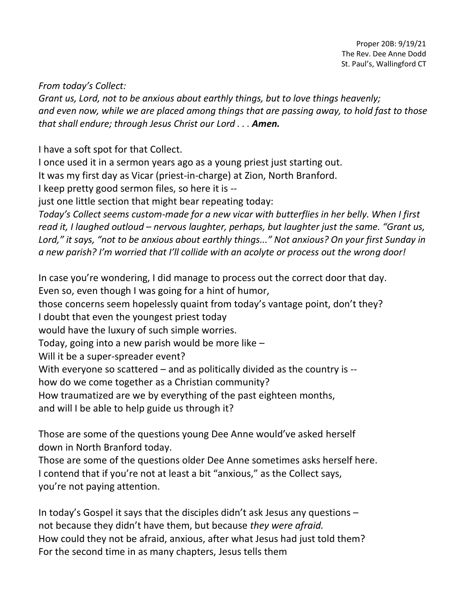*From today's Collect:*

*Grant us, Lord, not to be anxious about earthly things, but to love things heavenly; and even now, while we are placed among things that are passing away, to hold fast to those that shall endure; through Jesus Christ our Lord . . . Amen.*

I have a soft spot for that Collect.

I once used it in a sermon years ago as a young priest just starting out.

It was my first day as Vicar (priest-in-charge) at Zion, North Branford.

I keep pretty good sermon files, so here it is --

just one little section that might bear repeating today:

*Today's Collect seems custom-made for a new vicar with butterflies in her belly. When I first read it, I laughed outloud – nervous laughter, perhaps, but laughter just the same. "Grant us, Lord," it says, "not to be anxious about earthly things..." Not anxious? On your first Sunday in a new parish? I'm worried that I'll collide with an acolyte or process out the wrong door!*

In case you're wondering, I did manage to process out the correct door that day. Even so, even though I was going for a hint of humor, those concerns seem hopelessly quaint from today's vantage point, don't they? I doubt that even the youngest priest today would have the luxury of such simple worries. Today, going into a new parish would be more like –

Will it be a super-spreader event?

With everyone so scattered – and as politically divided as the country is --

how do we come together as a Christian community?

How traumatized are we by everything of the past eighteen months,

and will I be able to help guide us through it?

Those are some of the questions young Dee Anne would've asked herself down in North Branford today.

Those are some of the questions older Dee Anne sometimes asks herself here. I contend that if you're not at least a bit "anxious," as the Collect says, you're not paying attention.

In today's Gospel it says that the disciples didn't ask Jesus any questions – not because they didn't have them, but because *they were afraid.* How could they not be afraid, anxious, after what Jesus had just told them? For the second time in as many chapters, Jesus tells them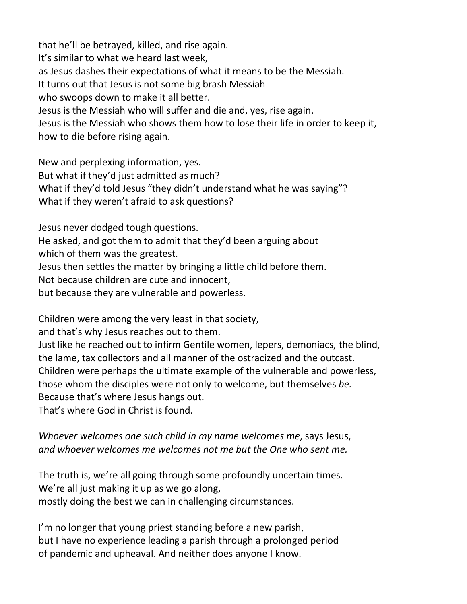that he'll be betrayed, killed, and rise again. It's similar to what we heard last week, as Jesus dashes their expectations of what it means to be the Messiah. It turns out that Jesus is not some big brash Messiah who swoops down to make it all better. Jesus is the Messiah who will suffer and die and, yes, rise again. Jesus is the Messiah who shows them how to lose their life in order to keep it, how to die before rising again.

New and perplexing information, yes. But what if they'd just admitted as much? What if they'd told Jesus "they didn't understand what he was saying"? What if they weren't afraid to ask questions?

Jesus never dodged tough questions.

He asked, and got them to admit that they'd been arguing about

which of them was the greatest.

Jesus then settles the matter by bringing a little child before them.

Not because children are cute and innocent,

but because they are vulnerable and powerless.

Children were among the very least in that society,

and that's why Jesus reaches out to them.

Just like he reached out to infirm Gentile women, lepers, demoniacs, the blind, the lame, tax collectors and all manner of the ostracized and the outcast. Children were perhaps the ultimate example of the vulnerable and powerless, those whom the disciples were not only to welcome, but themselves *be.* Because that's where Jesus hangs out.

That's where God in Christ is found.

*Whoever welcomes one such child in my name welcomes me*, says Jesus, *and whoever welcomes me welcomes not me but the One who sent me.*

The truth is, we're all going through some profoundly uncertain times. We're all just making it up as we go along, mostly doing the best we can in challenging circumstances.

I'm no longer that young priest standing before a new parish, but I have no experience leading a parish through a prolonged period of pandemic and upheaval. And neither does anyone I know.